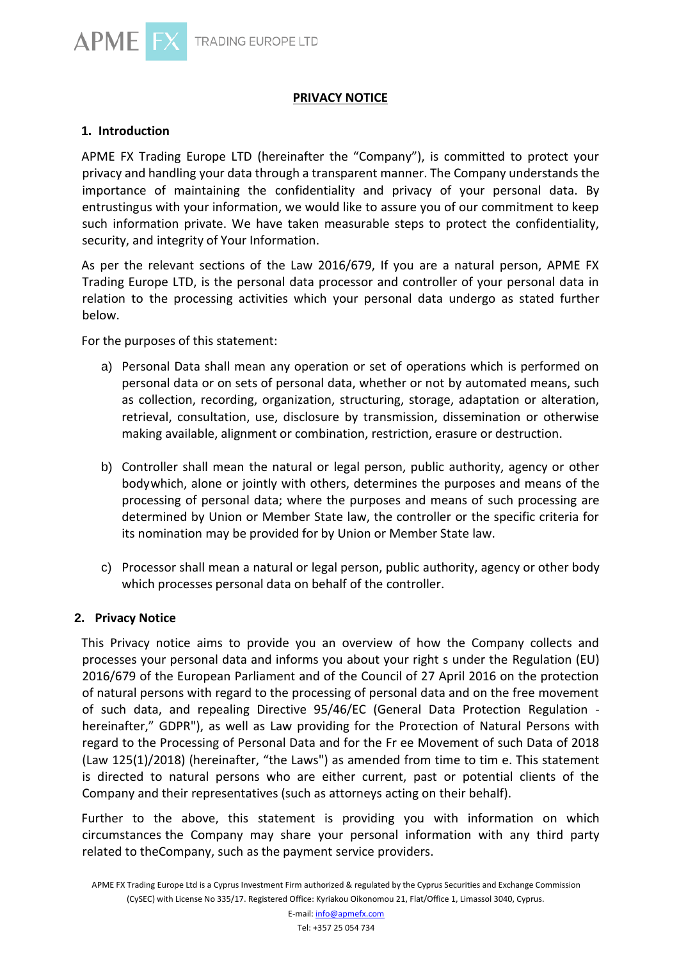

### **PRIVACY NOTICE**

## **1. Introduction**

APME FX Trading Europe LTD (hereinafter the "Company"), is committed to protect your privacy and handling your data through a transparent manner. The Company understands the importance of maintaining the confidentiality and privacy of your personal data. By entrustingus with your information, we would like to assure you of our commitment to keep such information private. We have taken measurable steps to protect the confidentiality, security, and integrity of Your Information.

As per the relevant sections of the Law 2016/679, If you are a natural person, APME FX Trading Europe LTD, is the personal data processor and controller of your personal data in relation to the processing activities which your personal data undergo as stated further below.

For the purposes of this statement:

- a) Personal Data shall mean any operation or set of operations which is performed on personal data or on sets of personal data, whether or not by automated means, such as collection, recording, organization, structuring, storage, adaptation or alteration, retrieval, consultation, use, disclosure by transmission, dissemination or otherwise making available, alignment or combination, restriction, erasure or destruction.
- b) Controller shall mean the natural or legal person, public authority, agency or other bodywhich, alone or jointly with others, determines the purposes and means of the processing of personal data; where the purposes and means of such processing are determined by Union or Member State law, the controller or the specific criteria for its nomination may be provided for by Union or Member State law.
- c) Processor shall mean a natural or legal person, public authority, agency or other body which processes personal data on behalf of the controller.

### **2. Privacy Notice**

This Privacy notice aims to provide you an overview of how the Company collects and processes your personal data and informs you about your right s under the Regulation (EU) 2016/679 of the European Parliament and of the Council of 27 April 2016 on the protection of natural persons with regard to the processing of personal data and on the free movement of such data, and repealing Directive 95/46/EC (General Data Protection Regulation hereinafter," GDPR"), as well as Law providing for the Protection of Natural Persons with regard to the Processing of Personal Data and for the Fr ee Movement of such Data of 2018 (Law 125(1)/2018) (hereinafter, "the Laws") as amended from time to tim e. This statement is directed to natural persons who are either current, past or potential clients of the Company and their representatives (such as attorneys acting on their behalf).

Further to the above, this statement is providing you with information on which circumstances the Company may share your personal information with any third party related to theCompany, such as the payment service providers.

APME FX Trading Europe Ltd is a Cyprus Investment Firm authorized & regulated by the Cyprus Securities and Exchange Commission (CySEC) with License No 335/17. Registered Office: Kyriakou Oikonomou 21, Flat/Office 1, Limassol 3040, Cyprus.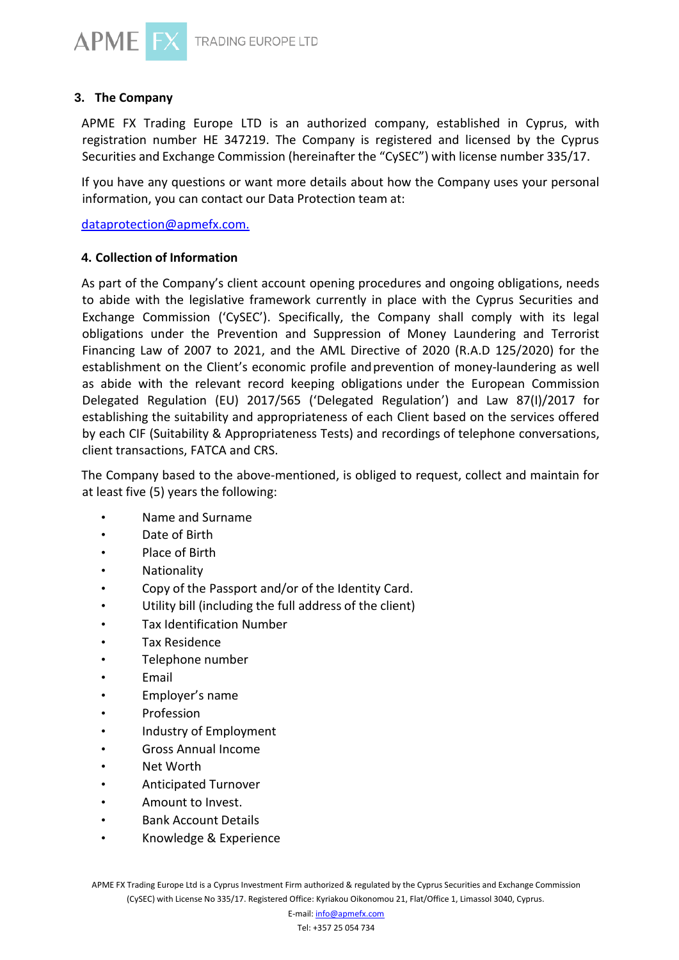

## **3. The Company**

APME FX Trading Europe LTD is an authorized company, established in Cyprus, with registration number HE 347219. The Company is registered and licensed by the Cyprus Securities and Exchange Commission (hereinafter the "CySEC") with license number 335/17.

If you have any questions or want more details about how the Company uses your personal information, you can contact our Data Protection team at:

[dataprotection@apmefx.com.](mailto:dataprotection@apmefx.com.)

## **4. Collection of Information**

As part of the Company's client account opening procedures and ongoing obligations, needs to abide with the legislative framework currently in place with the Cyprus Securities and Exchange Commission ('CySEC'). Specifically, the Company shall comply with its legal obligations under the Prevention and Suppression of Money Laundering and Terrorist Financing Law of 2007 to 2021, and the AML Directive of 2020 (R.A.D 125/2020) for the establishment on the Client's economic profile andprevention of money-laundering as well as abide with the relevant record keeping obligations under the European Commission Delegated Regulation (EU) 2017/565 ('Delegated Regulation') and Law 87(I)/2017 for establishing the suitability and appropriateness of each Client based on the services offered by each CIF (Suitability & Appropriateness Tests) and recordings of telephone conversations, client transactions, FATCA and CRS.

The Company based to the above-mentioned, is obliged to request, collect and maintain for at least five (5) years the following:

- Name and Surname
- Date of Birth
- Place of Birth
- Nationality
- Copy of the Passport and/or of the Identity Card.
- Utility bill (including the full address of the client)
- Tax Identification Number
- Tax Residence
- Telephone number
- Email
- Employer's name
- Profession
- Industry of Employment
- Gross Annual Income
- Net Worth
- Anticipated Turnover
- Amount to Invest.
- Bank Account Details
- Knowledge & Experience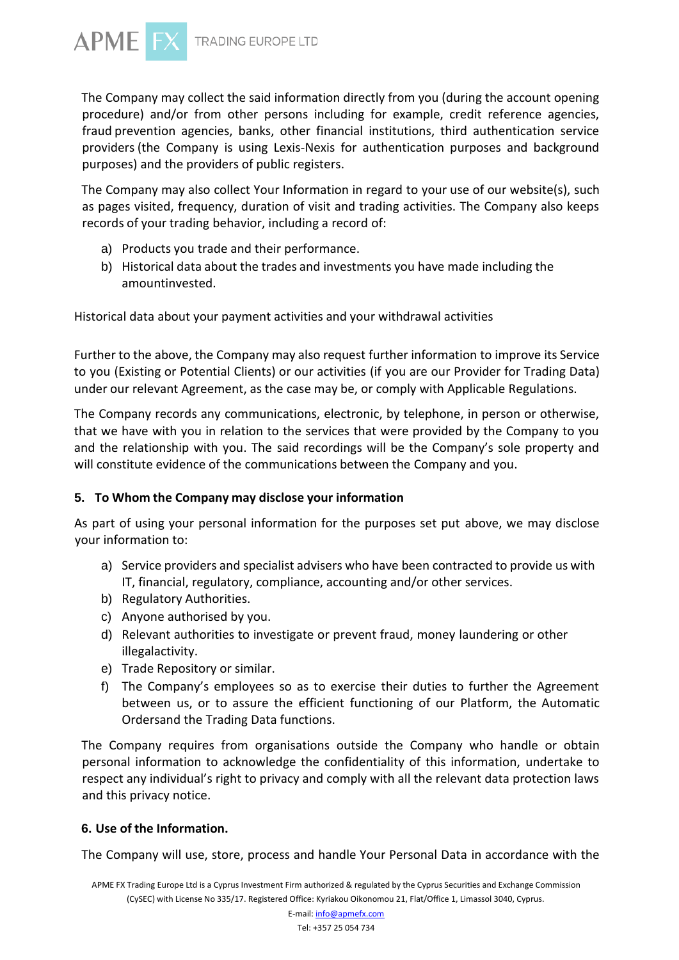

The Company may collect the said information directly from you (during the account opening procedure) and/or from other persons including for example, credit reference agencies, fraud prevention agencies, banks, other financial institutions, third authentication service providers (the Company is using Lexis-Nexis for authentication purposes and background purposes) and the providers of public registers.

The Company may also collect Your Information in regard to your use of our website(s), such as pages visited, frequency, duration of visit and trading activities. The Company also keeps records of your trading behavior, including a record of:

- a) Products you trade and their performance.
- b) Historical data about the trades and investments you have made including the amountinvested.

Historical data about your payment activities and your withdrawal activities

Further to the above, the Company may also request further information to improve its Service to you (Existing or Potential Clients) or our activities (if you are our Provider for Trading Data) under our relevant Agreement, as the case may be, or comply with Applicable Regulations.

The Company records any communications, electronic, by telephone, in person or otherwise, that we have with you in relation to the services that were provided by the Company to you and the relationship with you. The said recordings will be the Company's sole property and will constitute evidence of the communications between the Company and you.

### **5. To Whom the Company may disclose your information**

As part of using your personal information for the purposes set put above, we may disclose your information to:

- a) Service providers and specialist advisers who have been contracted to provide us with IT, financial, regulatory, compliance, accounting and/or other services.
- b) Regulatory Authorities.
- c) Anyone authorised by you.
- d) Relevant authorities to investigate or prevent fraud, money laundering or other illegalactivity.
- e) Trade Repository or similar.
- f) The Company's employees so as to exercise their duties to further the Agreement between us, or to assure the efficient functioning of our Platform, the Automatic Ordersand the Trading Data functions.

The Company requires from organisations outside the Company who handle or obtain personal information to acknowledge the confidentiality of this information, undertake to respect any individual's right to privacy and comply with all the relevant data protection laws and this privacy notice.

### **6. Use of the Information.**

The Company will use, store, process and handle Your Personal Data in accordance with the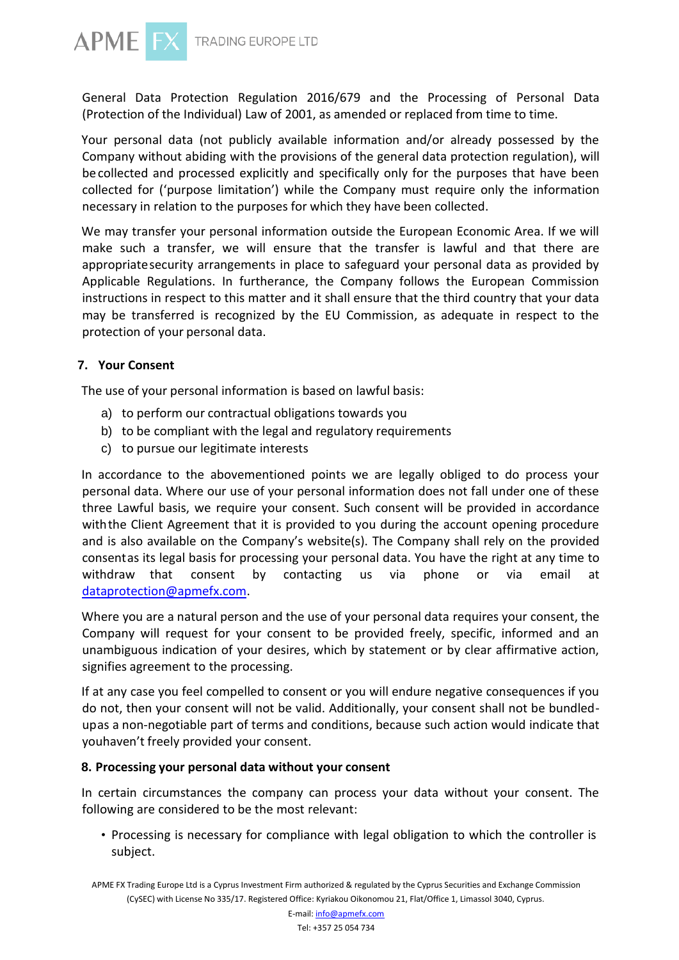

General Data Protection Regulation 2016/679 and the Processing of Personal Data (Protection of the Individual) Law of 2001, as amended or replaced from time to time.

Your personal data (not publicly available information and/or already possessed by the Company without abiding with the provisions of the general data protection regulation), will becollected and processed explicitly and specifically only for the purposes that have been collected for ('purpose limitation') while the Company must require only the information necessary in relation to the purposes for which they have been collected.

We may transfer your personal information outside the European Economic Area. If we will make such a transfer, we will ensure that the transfer is lawful and that there are appropriatesecurity arrangements in place to safeguard your personal data as provided by Applicable Regulations. In furtherance, the Company follows the European Commission instructions in respect to this matter and it shall ensure that the third country that your data may be transferred is recognized by the EU Commission, as adequate in respect to the protection of your personal data.

### **7. Your Consent**

The use of your personal information is based on lawful basis:

- a) to perform our contractual obligations towards you
- b) to be compliant with the legal and regulatory requirements
- c) to pursue our legitimate interests

In accordance to the abovementioned points we are legally obliged to do process your personal data. Where our use of your personal information does not fall under one of these three Lawful basis, we require your consent. Such consent will be provided in accordance withthe Client Agreement that it is provided to you during the account opening procedure and is also available on the Company's website(s). The Company shall rely on the provided consentas its legal basis for processing your personal data. You have the right at any time to withdraw that consent by contacting us via phone or via email at [dataprotection@apmefx.com.](mailto:dataprotection@apmefx.com)

Where you are a natural person and the use of your personal data requires your consent, the Company will request for your consent to be provided freely, specific, informed and an unambiguous indication of your desires, which by statement or by clear affirmative action, signifies agreement to the processing.

If at any case you feel compelled to consent or you will endure negative consequences if you do not, then your consent will not be valid. Additionally, your consent shall not be bundledupas a non-negotiable part of terms and conditions, because such action would indicate that youhaven't freely provided your consent.

### **8. Processing your personal data without your consent**

In certain circumstances the company can process your data without your consent. The following are considered to be the most relevant:

• Processing is necessary for compliance with legal obligation to which the controller is subject.

APME FX Trading Europe Ltd is a Cyprus Investment Firm authorized & regulated by the Cyprus Securities and Exchange Commission (CySEC) with License No 335/17. Registered Office: Kyriakou Oikonomou 21, Flat/Office 1, Limassol 3040, Cyprus.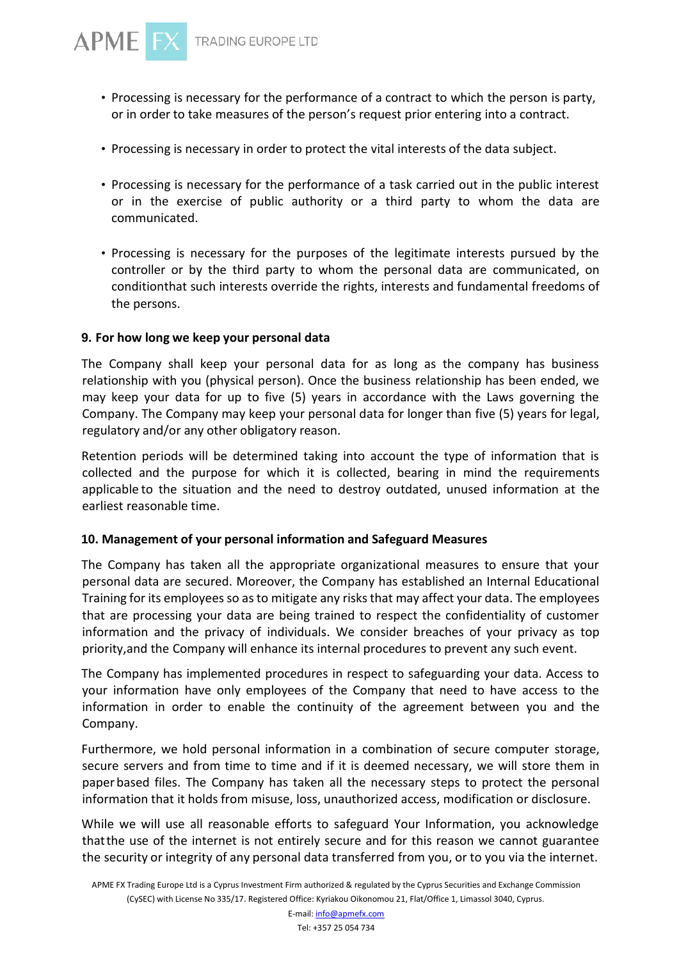

- Processing is necessary for the performance of a contract to which the person is party, or in order to take measures of the person's request prior entering into a contract.
- Processing is necessary in order to protect the vital interests of the data subject.
- Processing is necessary for the performance of a task carried out in the public interest or in the exercise of public authority or a third party to whom the data are communicated.
- Processing is necessary for the purposes of the legitimate interests pursued by the controller or by the third party to whom the personal data are communicated, on conditionthat such interests override the rights, interests and fundamental freedoms of the persons.

### **9. For how long we keep your personal data**

The Company shall keep your personal data for as long as the company has business relationship with you (physical person). Once the business relationship has been ended, we may keep your data for up to five (5) years in accordance with the Laws governing the Company. The Company may keep your personal data for longer than five (5) years for legal, regulatory and/or any other obligatory reason.

Retention periods will be determined taking into account the type of information that is collected and the purpose for which it is collected, bearing in mind the requirements applicable to the situation and the need to destroy outdated, unused information at the earliest reasonable time.

### **10. Management of your personal information and Safeguard Measures**

The Company has taken all the appropriate organizational measures to ensure that your personal data are secured. Moreover, the Company has established an Internal Educational Training for its employees so as to mitigate any risks that may affect your data. The employees that are processing your data are being trained to respect the confidentiality of customer information and the privacy of individuals. We consider breaches of your privacy as top priority,and the Company will enhance its internal procedures to prevent any such event.

The Company has implemented procedures in respect to safeguarding your data. Access to your information have only employees of the Company that need to have access to the information in order to enable the continuity of the agreement between you and the Company.

Furthermore, we hold personal information in a combination of secure computer storage, secure servers and from time to time and if it is deemed necessary, we will store them in paper based files. The Company has taken all the necessary steps to protect the personal information that it holds from misuse, loss, unauthorized access, modification or disclosure.

While we will use all reasonable efforts to safeguard Your Information, you acknowledge thatthe use of the internet is not entirely secure and for this reason we cannot guarantee the security or integrity of any personal data transferred from you, or to you via the internet.

APME FX Trading Europe Ltd is a Cyprus Investment Firm authorized & regulated by the Cyprus Securities and Exchange Commission (CySEC) with License No 335/17. Registered Office: Kyriakou Oikonomou 21, Flat/Office 1, Limassol 3040, Cyprus.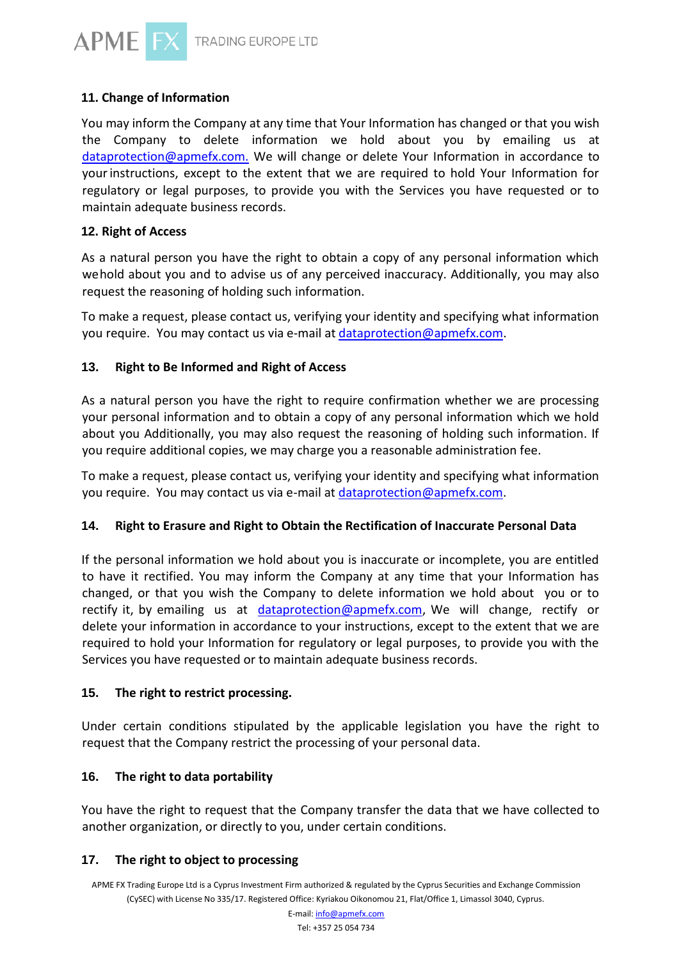

# **11. Change of Information**

You may inform the Company at any time that Your Information has changed or that you wish the Company to delete information we hold about you by emailing us at [dataprotection@apmefx.com.](mailto:dataprotection@apmefx.com) We will change or delete Your Information in accordance to yourinstructions, except to the extent that we are required to hold Your Information for regulatory or legal purposes, to provide you with the Services you have requested or to maintain adequate business records.

## **12. Right of Access**

As a natural person you have the right to obtain a copy of any personal information which wehold about you and to advise us of any perceived inaccuracy. Additionally, you may also request the reasoning of holding such information.

To make a request, please contact us, verifying your identity and specifying what information you require. You may contact us via e-mail at [dataprotection@apmefx.com.](mailto:dataprotection@apmefx.com)

# **13. Right to Be Informed and Right of Access**

As a natural person you have the right to require confirmation whether we are processing your personal information and to obtain a copy of any personal information which we hold about you Additionally, you may also request the reasoning of holding such information. If you require additional copies, we may charge you a reasonable administration fee.

To make a request, please contact us, verifying your identity and specifying what information you require. You may contact us via e-mail at [dataprotection@apmefx.com.](mailto:dataprotection@apmefx.com)

# **14. Right to Erasure and Right to Obtain the Rectification of Inaccurate Personal Data**

If the personal information we hold about you is inaccurate or incomplete, you are entitled to have it rectified. You may inform the Company at any time that your Information has changed, or that you wish the Company to delete information we hold about you or to rectify it, by emailing us at [dataprotection@apmefx.com,](mailto:dataprotection@apmefx.com) We will change, rectify or delete your information in accordance to your instructions, except to the extent that we are required to hold your Information for regulatory or legal purposes, to provide you with the Services you have requested or to maintain adequate business records.

### **15. The right to restrict processing.**

Under certain conditions stipulated by the applicable legislation you have the right to request that the Company restrict the processing of your personal data.

# **16. The right to data portability**

You have the right to request that the Company transfer the data that we have collected to another organization, or directly to you, under certain conditions.

### **17. The right to object to processing**

APME FX Trading Europe Ltd is a Cyprus Investment Firm authorized & regulated by the Cyprus Securities and Exchange Commission (CySEC) with License No 335/17. Registered Office: Kyriakou Oikonomou 21, Flat/Office 1, Limassol 3040, Cyprus.